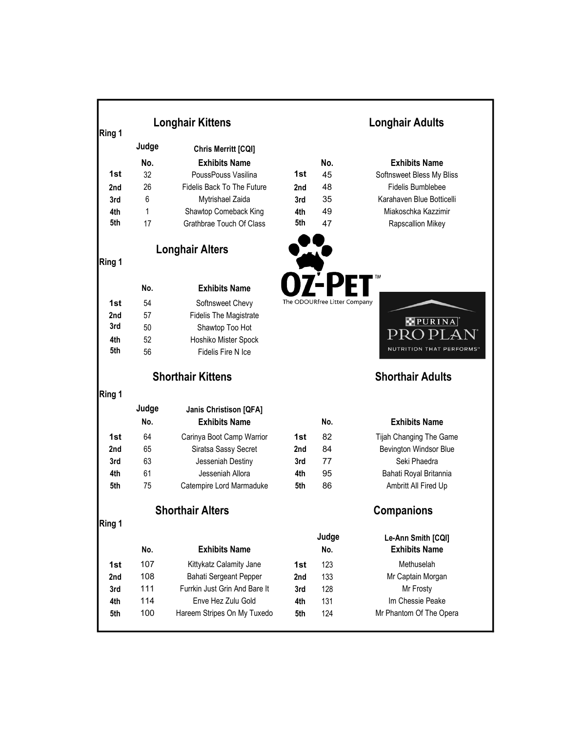|            |                          | <b>Longhair Kittens</b>               | <b>Longhair Adults</b> |                              |                                        |  |
|------------|--------------------------|---------------------------------------|------------------------|------------------------------|----------------------------------------|--|
| Ring 1     | Judge                    |                                       |                        |                              |                                        |  |
|            |                          | Chris Merritt [CQI]                   |                        |                              |                                        |  |
|            | No.                      | <b>Exhibits Name</b>                  |                        | No.                          | <b>Exhibits Name</b>                   |  |
| 1st        | 32                       | PoussPouss Vasilina                   | 1st                    | 45                           | Softnsweet Bless My Bliss              |  |
| 2nd        | 26                       | <b>Fidelis Back To The Future</b>     | 2nd                    | 48                           | Fidelis Bumblebee                      |  |
| 3rd        | 6                        | Mytrishael Zaida                      | 3rd                    | 35                           | Karahaven Blue Botticelli              |  |
| 4th        | 1                        | Shawtop Comeback King                 | 4th                    | 49                           | Miakoschka Kazzimir                    |  |
| 5th        | 17                       | Grathbrae Touch Of Class              | 5th                    | 47                           | Rapscallion Mikey                      |  |
|            |                          | <b>Longhair Alters</b>                |                        |                              |                                        |  |
| Ring 1     |                          |                                       |                        |                              |                                        |  |
|            | No.                      | <b>Exhibits Name</b>                  |                        |                              |                                        |  |
| 1st        | 54                       | Softnsweet Chevy                      |                        | The ODOURfree Litter Company |                                        |  |
| 2nd        | 57                       | <b>Fidelis The Magistrate</b>         |                        |                              |                                        |  |
| 3rd        | 50                       | Shawtop Too Hot                       |                        |                              | PURINA                                 |  |
| 4th        | 52                       | Hoshiko Mister Spock                  |                        |                              |                                        |  |
| 5th        | 56                       | Fidelis Fire N Ice                    |                        |                              | <b>NUTRITION THAT PERFORMS"</b>        |  |
|            | <b>Shorthair Kittens</b> |                                       |                        |                              | <b>Shorthair Adults</b>                |  |
| Ring 1     |                          |                                       |                        |                              |                                        |  |
|            | Judge                    | <b>Janis Christison [QFA]</b>         |                        |                              |                                        |  |
|            | No.                      | <b>Exhibits Name</b>                  |                        | No.                          | <b>Exhibits Name</b>                   |  |
|            | 64                       |                                       |                        | 82                           |                                        |  |
| 1st<br>2nd | 65                       | Carinya Boot Camp Warrior             | 1st                    | 84                           | Tijah Changing The Game                |  |
| 3rd        | 63                       | Siratsa Sassy Secret                  | 2nd<br>3rd             | 77                           | Bevington Windsor Blue<br>Seki Phaedra |  |
| 4th        | 61                       | Jesseniah Destiny<br>Jesseniah Allora | 4th                    | 95                           | Bahati Royal Britannia                 |  |
| 5th        | 75                       | Catempire Lord Marmaduke              | 5th                    | 86                           | Ambritt All Fired Up                   |  |
|            |                          |                                       |                        |                              |                                        |  |
|            |                          | <b>Shorthair Alters</b>               |                        | <b>Companions</b>            |                                        |  |
| Ring 1     |                          |                                       |                        |                              |                                        |  |
|            |                          |                                       |                        | Judge                        | Le-Ann Smith [CQI]                     |  |
|            | No.                      | <b>Exhibits Name</b>                  |                        | No.                          | <b>Exhibits Name</b>                   |  |
| 1st        | 107                      | Kittykatz Calamity Jane               | 1st                    | 123                          | Methuselah                             |  |
| 2nd        | 108                      | Bahati Sergeant Pepper                | 2nd                    | 133                          | Mr Captain Morgan                      |  |
| 3rd        | 111                      | Furrkin Just Grin And Bare It         | 3rd                    | 128                          | Mr Frosty                              |  |
| 4th        | 114                      | Enve Hez Zulu Gold                    | 4th                    | 131                          | Im Chessie Peake                       |  |
| 5th        | 100                      | Hareem Stripes On My Tuxedo           | 5th                    | 124                          | Mr Phantom Of The Opera                |  |
|            |                          |                                       |                        |                              |                                        |  |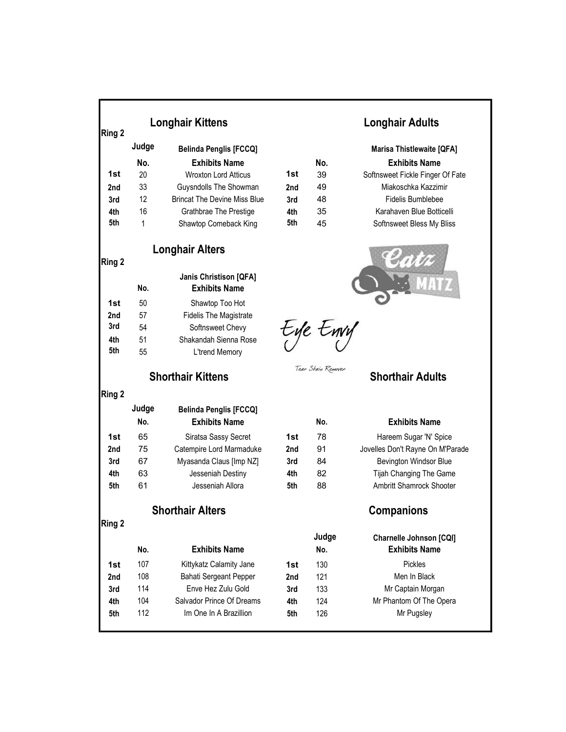| Ring 2 | <b>Longhair Kittens</b>  |                                                       |     | <b>Longhair Adults</b> |                                  |  |
|--------|--------------------------|-------------------------------------------------------|-----|------------------------|----------------------------------|--|
|        | Judge                    | <b>Belinda Penglis [FCCQ]</b>                         |     |                        | <b>Marisa Thistlewaite [QFA]</b> |  |
|        | No.                      | <b>Exhibits Name</b>                                  |     | No.                    | <b>Exhibits Name</b>             |  |
| 1st    | 20                       | <b>Wroxton Lord Atticus</b>                           | 1st | 39                     | Softnsweet Fickle Finger Of Fate |  |
| 2nd    | 33                       | Guysndolls The Showman                                | 2nd | 49                     | Miakoschka Kazzimir              |  |
| 3rd    | 12                       | <b>Brincat The Devine Miss Blue</b>                   | 3rd | 48                     | Fidelis Bumblebee                |  |
| 4th    | 16                       | Grathbrae The Prestige                                | 4th | 35                     | Karahaven Blue Botticelli        |  |
| 5th    | 1                        | Shawtop Comeback King                                 | 5th | 45                     | Softnsweet Bless My Bliss        |  |
| Ring 2 |                          | <b>Longhair Alters</b>                                |     |                        |                                  |  |
|        | No.                      | <b>Janis Christison [QFA]</b><br><b>Exhibits Name</b> |     |                        |                                  |  |
| 1st    | 50                       | Shawtop Too Hot                                       |     |                        |                                  |  |
| 2nd    | 57                       | <b>Fidelis The Magistrate</b>                         |     |                        |                                  |  |
| 3rd    | 54                       | Softnsweet Chevy                                      |     | tye twy                |                                  |  |
| 4th    | 51                       | Shakandah Sienna Rose                                 |     |                        |                                  |  |
| 5th    | 55                       | L'trend Memory                                        |     |                        |                                  |  |
|        | <b>Shorthair Kittens</b> |                                                       |     | Tear Stain Remover     | <b>Shorthair Adults</b>          |  |
| Ring 2 |                          |                                                       |     |                        |                                  |  |
|        | Judge                    | <b>Belinda Penglis [FCCQ]</b>                         |     |                        |                                  |  |
|        | No.                      | <b>Exhibits Name</b>                                  |     | No.                    | <b>Exhibits Name</b>             |  |
| 1st    | 65                       | Siratsa Sassy Secret                                  | 1st | 78                     | Hareem Sugar 'N' Spice           |  |
| 2nd    | 75                       | Catempire Lord Marmaduke                              | 2nd | 91                     | Jovelles Don't Rayne On M'Parade |  |
| 3rd    | 67                       | Myasanda Claus [Imp NZ]                               | 3rd | 84                     | Bevington Windsor Blue           |  |
| 4th    | 63                       | Jesseniah Destiny                                     | 4th | 82                     | Tijah Changing The Game          |  |
| 5th    | 61                       | Jesseniah Allora                                      | 5th | 88                     | Ambritt Shamrock Shooter         |  |
|        |                          | <b>Shorthair Alters</b>                               |     | Companions             |                                  |  |
| Ring 2 |                          |                                                       |     |                        |                                  |  |
|        |                          |                                                       |     | Judge                  | <b>Charnelle Johnson [CQI]</b>   |  |
|        | No.                      | <b>Exhibits Name</b>                                  |     | No.                    | <b>Exhibits Name</b>             |  |
| 1st    | 107                      | Kittykatz Calamity Jane                               | 1st | 130                    | Pickles                          |  |
| 2nd    | 108                      | Bahati Sergeant Pepper                                | 2nd | 121                    | Men In Black                     |  |
| 3rd    | 114                      | Enve Hez Zulu Gold                                    | 3rd | 133                    | Mr Captain Morgan                |  |
| 4th    | 104                      | Salvador Prince Of Dreams                             | 4th | 124                    | Mr Phantom Of The Opera          |  |
| 5th    | 112                      | Im One In A Brazillion                                | 5th | 126                    | Mr Pugsley                       |  |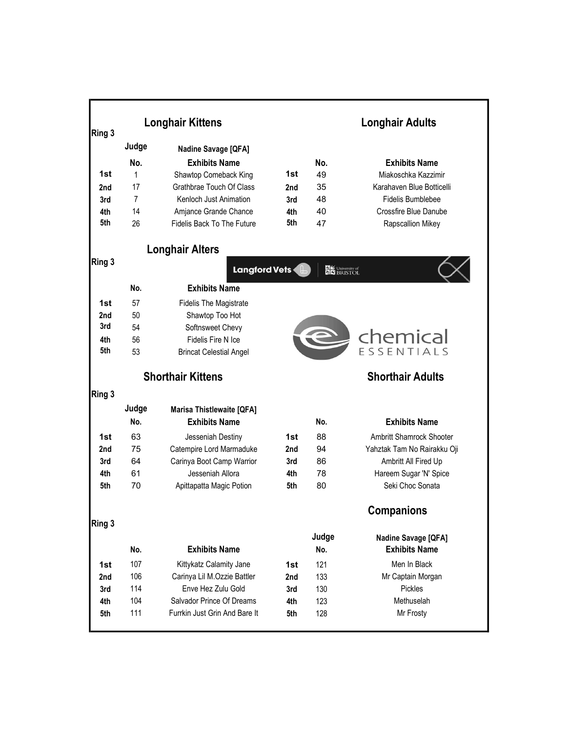|                          | <b>Longhair Kittens</b>                                                               |                                                                                                                                                                                                                                                                                                                                                                                                                                                                                                              | <b>Longhair Adults</b>                                                       |                                                                               |  |
|--------------------------|---------------------------------------------------------------------------------------|--------------------------------------------------------------------------------------------------------------------------------------------------------------------------------------------------------------------------------------------------------------------------------------------------------------------------------------------------------------------------------------------------------------------------------------------------------------------------------------------------------------|------------------------------------------------------------------------------|-------------------------------------------------------------------------------|--|
| Judge                    |                                                                                       |                                                                                                                                                                                                                                                                                                                                                                                                                                                                                                              |                                                                              |                                                                               |  |
|                          |                                                                                       |                                                                                                                                                                                                                                                                                                                                                                                                                                                                                                              |                                                                              | <b>Exhibits Name</b>                                                          |  |
|                          |                                                                                       |                                                                                                                                                                                                                                                                                                                                                                                                                                                                                                              |                                                                              | Miakoschka Kazzimir                                                           |  |
|                          |                                                                                       |                                                                                                                                                                                                                                                                                                                                                                                                                                                                                                              |                                                                              | Karahaven Blue Botticelli                                                     |  |
|                          |                                                                                       |                                                                                                                                                                                                                                                                                                                                                                                                                                                                                                              |                                                                              | Fidelis Bumblebee                                                             |  |
|                          |                                                                                       |                                                                                                                                                                                                                                                                                                                                                                                                                                                                                                              |                                                                              | Crossfire Blue Danube                                                         |  |
| 26                       | <b>Fidelis Back To The Future</b>                                                     | 5th                                                                                                                                                                                                                                                                                                                                                                                                                                                                                                          | 47                                                                           | Rapscallion Mikey                                                             |  |
|                          |                                                                                       |                                                                                                                                                                                                                                                                                                                                                                                                                                                                                                              |                                                                              |                                                                               |  |
|                          |                                                                                       |                                                                                                                                                                                                                                                                                                                                                                                                                                                                                                              | <b>DE University of</b>                                                      |                                                                               |  |
| No.                      | <b>Exhibits Name</b>                                                                  |                                                                                                                                                                                                                                                                                                                                                                                                                                                                                                              |                                                                              |                                                                               |  |
| 57                       |                                                                                       |                                                                                                                                                                                                                                                                                                                                                                                                                                                                                                              |                                                                              |                                                                               |  |
|                          |                                                                                       |                                                                                                                                                                                                                                                                                                                                                                                                                                                                                                              |                                                                              |                                                                               |  |
| 54                       |                                                                                       |                                                                                                                                                                                                                                                                                                                                                                                                                                                                                                              |                                                                              |                                                                               |  |
| 56                       | Fidelis Fire N Ice                                                                    |                                                                                                                                                                                                                                                                                                                                                                                                                                                                                                              |                                                                              |                                                                               |  |
| 53                       | <b>Brincat Celestial Angel</b>                                                        |                                                                                                                                                                                                                                                                                                                                                                                                                                                                                                              |                                                                              | Chemical                                                                      |  |
| <b>Shorthair Kittens</b> |                                                                                       |                                                                                                                                                                                                                                                                                                                                                                                                                                                                                                              |                                                                              | <b>Shorthair Adults</b>                                                       |  |
|                          |                                                                                       |                                                                                                                                                                                                                                                                                                                                                                                                                                                                                                              |                                                                              |                                                                               |  |
| Judge                    |                                                                                       |                                                                                                                                                                                                                                                                                                                                                                                                                                                                                                              |                                                                              |                                                                               |  |
| No.                      | <b>Exhibits Name</b>                                                                  |                                                                                                                                                                                                                                                                                                                                                                                                                                                                                                              | No.                                                                          | <b>Exhibits Name</b>                                                          |  |
|                          |                                                                                       |                                                                                                                                                                                                                                                                                                                                                                                                                                                                                                              |                                                                              | Ambritt Shamrock Shooter                                                      |  |
| 75                       |                                                                                       | 2nd                                                                                                                                                                                                                                                                                                                                                                                                                                                                                                          | 94                                                                           | Yahztak Tam No Rairakku Oji                                                   |  |
| 64                       |                                                                                       | 3rd                                                                                                                                                                                                                                                                                                                                                                                                                                                                                                          | 86                                                                           | Ambritt All Fired Up                                                          |  |
| 61                       | Jesseniah Allora                                                                      | 4th                                                                                                                                                                                                                                                                                                                                                                                                                                                                                                          | 78                                                                           | Hareem Sugar 'N' Spice                                                        |  |
| 70                       | Apittapatta Magic Potion                                                              | 5th                                                                                                                                                                                                                                                                                                                                                                                                                                                                                                          | 80                                                                           | Seki Choc Sonata                                                              |  |
|                          |                                                                                       |                                                                                                                                                                                                                                                                                                                                                                                                                                                                                                              |                                                                              | <b>Companions</b>                                                             |  |
|                          |                                                                                       |                                                                                                                                                                                                                                                                                                                                                                                                                                                                                                              |                                                                              |                                                                               |  |
|                          |                                                                                       |                                                                                                                                                                                                                                                                                                                                                                                                                                                                                                              |                                                                              | Nadine Savage [QFA]<br><b>Exhibits Name</b>                                   |  |
|                          |                                                                                       |                                                                                                                                                                                                                                                                                                                                                                                                                                                                                                              |                                                                              | Men In Black                                                                  |  |
|                          |                                                                                       |                                                                                                                                                                                                                                                                                                                                                                                                                                                                                                              |                                                                              | Mr Captain Morgan                                                             |  |
|                          |                                                                                       |                                                                                                                                                                                                                                                                                                                                                                                                                                                                                                              |                                                                              | Pickles                                                                       |  |
|                          |                                                                                       |                                                                                                                                                                                                                                                                                                                                                                                                                                                                                                              |                                                                              | Methuselah                                                                    |  |
| 111                      | Furrkin Just Grin And Bare It                                                         | 5th                                                                                                                                                                                                                                                                                                                                                                                                                                                                                                          | 128                                                                          | Mr Frosty                                                                     |  |
|                          | No.<br>1<br>17<br>$\overline{7}$<br>14<br>50<br>63<br>No.<br>107<br>106<br>114<br>104 | Nadine Savage [QFA]<br><b>Exhibits Name</b><br>Shawtop Comeback King<br>Grathbrae Touch Of Class<br>Kenloch Just Animation<br>Amjance Grande Chance<br><b>Longhair Alters</b><br><b>Fidelis The Magistrate</b><br>Shawtop Too Hot<br>Softnsweet Chevy<br><b>Marisa Thistlewaite [QFA]</b><br>Jesseniah Destiny<br>Catempire Lord Marmaduke<br>Carinya Boot Camp Warrior<br><b>Exhibits Name</b><br>Kittykatz Calamity Jane<br>Carinya Lil M.Ozzie Battler<br>Enve Hez Zulu Gold<br>Salvador Prince Of Dreams | 1st<br>2nd<br>3rd<br>4th<br>Langford Vets<br>1st<br>1st<br>2nd<br>3rd<br>4th | No.<br>49<br>35<br>48<br>40<br>88<br>Judge<br>No.<br>121<br>133<br>130<br>123 |  |